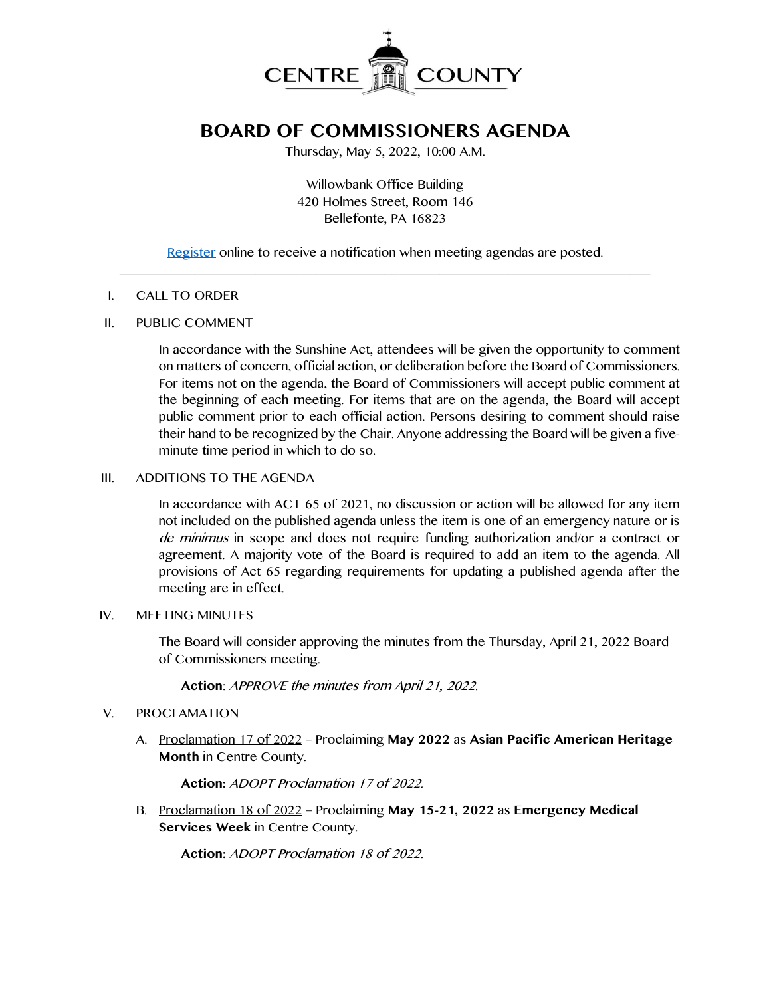

# **BOARD OF COMMISSIONERS AGENDA**

Thursday, May 5, 2022, 10:00 A.M.

Willowbank Office Building 420 Holmes Street, Room 146 Bellefonte, PA 16823

[Register](http://www.centrecountypa.gov/AgendaCenter) online to receive a notification when meeting agendas are posted.  $\mathcal{L} = \{ \mathcal{L} = \{ \mathcal{L} \mid \mathcal{L} = \{ \mathcal{L} \mid \mathcal{L} = \{ \mathcal{L} \mid \mathcal{L} = \{ \mathcal{L} \mid \mathcal{L} = \{ \mathcal{L} \mid \mathcal{L} = \{ \mathcal{L} \mid \mathcal{L} = \{ \mathcal{L} \mid \mathcal{L} = \{ \mathcal{L} \mid \mathcal{L} = \{ \mathcal{L} \mid \mathcal{L} = \{ \mathcal{L} \mid \mathcal{L} = \{ \mathcal{L} \mid \mathcal{L} = \{ \mathcal{L} \mid \mathcal{L} =$ 

#### I. CALL TO ORDER

### II. PUBLIC COMMENT

In accordance with the Sunshine Act, attendees will be given the opportunity to comment on matters of concern, official action, or deliberation before the Board of Commissioners. For items not on the agenda, the Board of Commissioners will accept public comment at the beginning of each meeting. For items that are on the agenda, the Board will accept public comment prior to each official action. Persons desiring to comment should raise their hand to be recognized by the Chair. Anyone addressing the Board will be given a fiveminute time period in which to do so.

## III. ADDITIONS TO THE AGENDA

In accordance with ACT 65 of 2021, no discussion or action will be allowed for any item not included on the published agenda unless the item is one of an emergency nature or is de minimus in scope and does not require funding authorization and/or a contract or agreement. A majority vote of the Board is required to add an item to the agenda. All provisions of Act 65 regarding requirements for updating a published agenda after the meeting are in effect.

### IV. MEETING MINUTES

The Board will consider approving the minutes from the Thursday, April 21, 2022 Board of Commissioners meeting.

**Action**: APPROVE the minutes from April 21, 2022.

# V. PROCLAMATION

A. Proclamation 17 of 2022 – Proclaiming **May 2022** as **Asian Pacific American Heritage Month** in Centre County.

**Action:** ADOPT Proclamation 17 of 2022.

B. Proclamation 18 of 2022 – Proclaiming **May 15-21, 2022** as **Emergency Medical Services Week** in Centre County.

**Action:** ADOPT Proclamation 18 of 2022.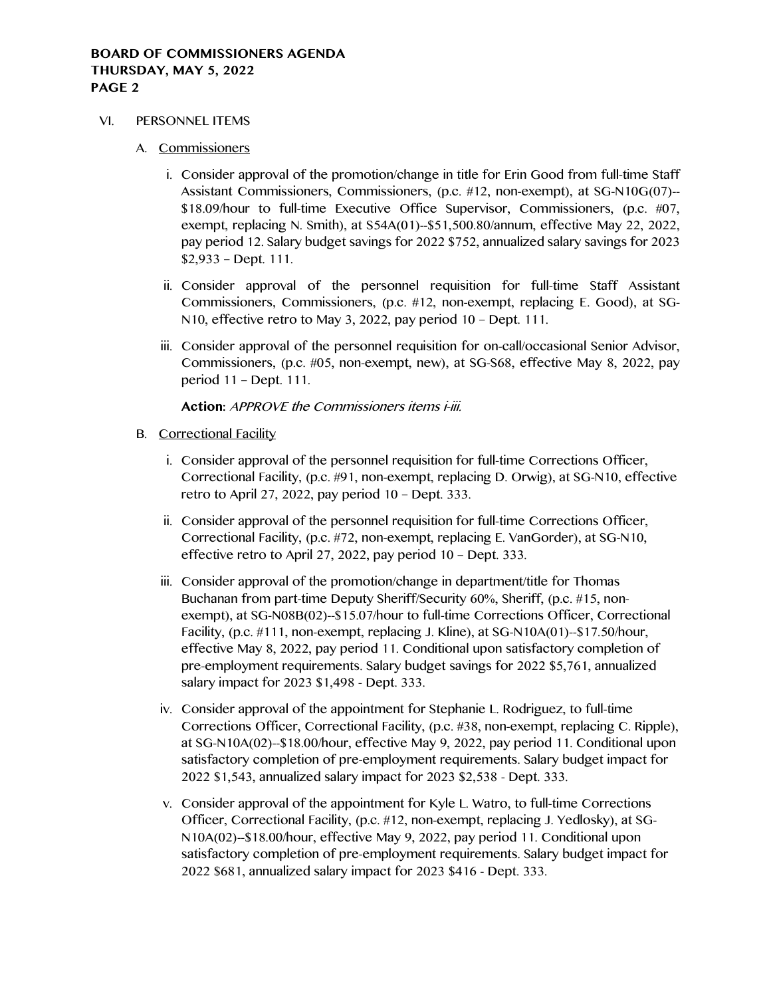- VI. PERSONNEL ITEMS
	- A. Commissioners
		- i. Consider approval of the promotion/change in title for Erin Good from full-time Staff Assistant Commissioners, Commissioners, (p.c. #12, non-exempt), at SG-N10G(07)-- \$18.09/hour to full-time Executive Office Supervisor, Commissioners, (p.c. #07, exempt, replacing N. Smith), at S54A(01)--\$51,500.80/annum, effective May 22, 2022, pay period 12. Salary budget savings for 2022 \$752, annualized salary savings for 2023 \$2,933 – Dept. 111.
		- ii. Consider approval of the personnel requisition for full-time Staff Assistant Commissioners, Commissioners, (p.c. #12, non-exempt, replacing E. Good), at SG-N10, effective retro to May 3, 2022, pay period 10 – Dept. 111.
		- iii. Consider approval of the personnel requisition for on-call/occasional Senior Advisor, Commissioners, (p.c. #05, non-exempt, new), at SG-S68, effective May 8, 2022, pay period 11 – Dept. 111.

# **Action:** APPROVE the Commissioners items i-iii.

- B. Correctional Facility
	- i. Consider approval of the personnel requisition for full-time Corrections Officer, Correctional Facility, (p.c. #91, non-exempt, replacing D. Orwig), at SG-N10, effective retro to April 27, 2022, pay period 10 – Dept. 333.
	- ii. Consider approval of the personnel requisition for full-time Corrections Officer, Correctional Facility, (p.c. #72, non-exempt, replacing E. VanGorder), at SG-N10, effective retro to April 27, 2022, pay period 10 – Dept. 333.
	- iii. Consider approval of the promotion/change in department/title for Thomas Buchanan from part-time Deputy Sheriff/Security 60%, Sheriff, (p.c. #15, nonexempt), at SG-N08B(02)--\$15.07/hour to full-time Corrections Officer, Correctional Facility, (p.c. #111, non-exempt, replacing J. Kline), at SG-N10A(01)--\$17.50/hour, effective May 8, 2022, pay period 11. Conditional upon satisfactory completion of pre-employment requirements. Salary budget savings for 2022 \$5,761, annualized salary impact for 2023 \$1,498 - Dept. 333.
	- iv. Consider approval of the appointment for Stephanie L. Rodriguez, to full-time Corrections Officer, Correctional Facility, (p.c. #38, non-exempt, replacing C. Ripple), at SG-N10A(02)--\$18.00/hour, effective May 9, 2022, pay period 11. Conditional upon satisfactory completion of pre-employment requirements. Salary budget impact for 2022 \$1,543, annualized salary impact for 2023 \$2,538 - Dept. 333.
	- v. Consider approval of the appointment for Kyle L. Watro, to full-time Corrections Officer, Correctional Facility, (p.c. #12, non-exempt, replacing J. Yedlosky), at SG-N10A(02)--\$18.00/hour, effective May 9, 2022, pay period 11. Conditional upon satisfactory completion of pre-employment requirements. Salary budget impact for 2022 \$681, annualized salary impact for 2023 \$416 - Dept. 333.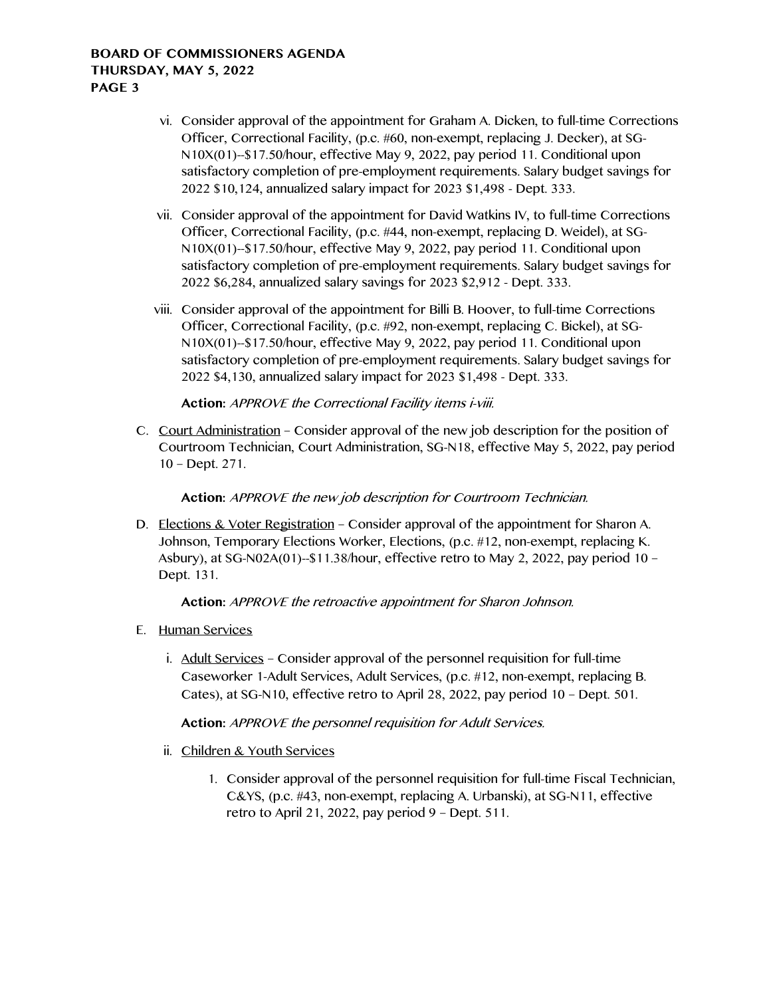- vi. Consider approval of the appointment for Graham A. Dicken, to full-time Corrections Officer, Correctional Facility, (p.c. #60, non-exempt, replacing J. Decker), at SG-N10X(01)--\$17.50/hour, effective May 9, 2022, pay period 11. Conditional upon satisfactory completion of pre-employment requirements. Salary budget savings for 2022 \$10,124, annualized salary impact for 2023 \$1,498 - Dept. 333.
- vii. Consider approval of the appointment for David Watkins IV, to full-time Corrections Officer, Correctional Facility, (p.c. #44, non-exempt, replacing D. Weidel), at SG-N10X(01)--\$17.50/hour, effective May 9, 2022, pay period 11. Conditional upon satisfactory completion of pre-employment requirements. Salary budget savings for 2022 \$6,284, annualized salary savings for 2023 \$2,912 - Dept. 333.
- viii. Consider approval of the appointment for Billi B. Hoover, to full-time Corrections Officer, Correctional Facility, (p.c. #92, non-exempt, replacing C. Bickel), at SG-N10X(01)--\$17.50/hour, effective May 9, 2022, pay period 11. Conditional upon satisfactory completion of pre-employment requirements. Salary budget savings for 2022 \$4,130, annualized salary impact for 2023 \$1,498 - Dept. 333.

# **Action:** APPROVE the Correctional Facility items i-viii.

C. Court Administration – Consider approval of the new job description for the position of Courtroom Technician, Court Administration, SG-N18, effective May 5, 2022, pay period 10 – Dept. 271.

# **Action:** APPROVE the new job description for Courtroom Technician.

D. Elections & Voter Registration – Consider approval of the appointment for Sharon A. Johnson, Temporary Elections Worker, Elections, (p.c. #12, non-exempt, replacing K. Asbury), at SG-N02A(01)--\$11.38/hour, effective retro to May 2, 2022, pay period 10 – Dept. 131.

# **Action:** APPROVE the retroactive appointment for Sharon Johnson.

# E. Human Services

i. Adult Services – Consider approval of the personnel requisition for full-time Caseworker 1-Adult Services, Adult Services, (p.c. #12, non-exempt, replacing B. Cates), at SG-N10, effective retro to April 28, 2022, pay period 10 – Dept. 501.

# **Action:** APPROVE the personnel requisition for Adult Services.

- ii. Children & Youth Services
	- 1. Consider approval of the personnel requisition for full-time Fiscal Technician, C&YS, (p.c. #43, non-exempt, replacing A. Urbanski), at SG-N11, effective retro to April 21, 2022, pay period 9 – Dept. 511.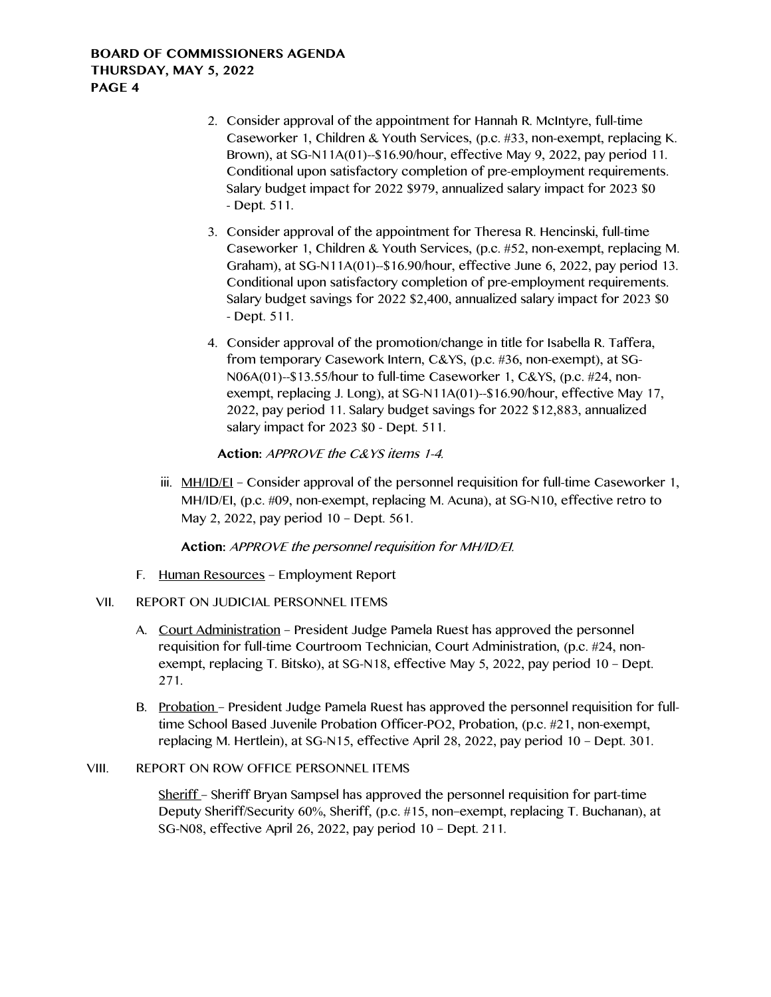- 2. Consider approval of the appointment for Hannah R. McIntyre, full-time Caseworker 1, Children & Youth Services, (p.c. #33, non-exempt, replacing K. Brown), at SG-N11A(01)--\$16.90/hour, effective May 9, 2022, pay period 11. Conditional upon satisfactory completion of pre-employment requirements. Salary budget impact for 2022 \$979, annualized salary impact for 2023 \$0 - Dept. 511.
- 3. Consider approval of the appointment for Theresa R. Hencinski, full-time Caseworker 1, Children & Youth Services, (p.c. #52, non-exempt, replacing M. Graham), at SG-N11A(01)--\$16.90/hour, effective June 6, 2022, pay period 13. Conditional upon satisfactory completion of pre-employment requirements. Salary budget savings for 2022 \$2,400, annualized salary impact for 2023 \$0 - Dept. 511.
- 4. Consider approval of the promotion/change in title for Isabella R. Taffera, from temporary Casework Intern, C&YS, (p.c. #36, non-exempt), at SG-N06A(01)--\$13.55/hour to full-time Caseworker 1, C&YS, (p.c. #24, nonexempt, replacing J. Long), at SG-N11A(01)--\$16.90/hour, effective May 17, 2022, pay period 11. Salary budget savings for 2022 \$12,883, annualized salary impact for 2023 \$0 - Dept. 511.

**Action:** APPROVE the C&YS items 1-4.

iii.  $MH/D/EL$  – Consider approval of the personnel requisition for full-time Caseworker 1, MH/ID/EI, (p.c. #09, non-exempt, replacing M. Acuna), at SG-N10, effective retro to May 2, 2022, pay period 10 – Dept. 561.

**Action:** APPROVE the personnel requisition for MH/ID/EI.

- F. Human Resources Employment Report
- VII. REPORT ON JUDICIAL PERSONNEL ITEMS
	- A. Court Administration President Judge Pamela Ruest has approved the personnel requisition for full-time Courtroom Technician, Court Administration, (p.c. #24, nonexempt, replacing T. Bitsko), at SG-N18, effective May 5, 2022, pay period 10 – Dept. 271.
	- B. Probation President Judge Pamela Ruest has approved the personnel requisition for fulltime School Based Juvenile Probation Officer-PO2, Probation, (p.c. #21, non-exempt, replacing M. Hertlein), at SG-N15, effective April 28, 2022, pay period 10 – Dept. 301.

### VIII. REPORT ON ROW OFFICE PERSONNEL ITEMS

Sheriff – Sheriff Bryan Sampsel has approved the personnel requisition for part-time Deputy Sheriff/Security 60%, Sheriff, (p.c. #15, non–exempt, replacing T. Buchanan), at SG-N08, effective April 26, 2022, pay period 10 – Dept. 211.